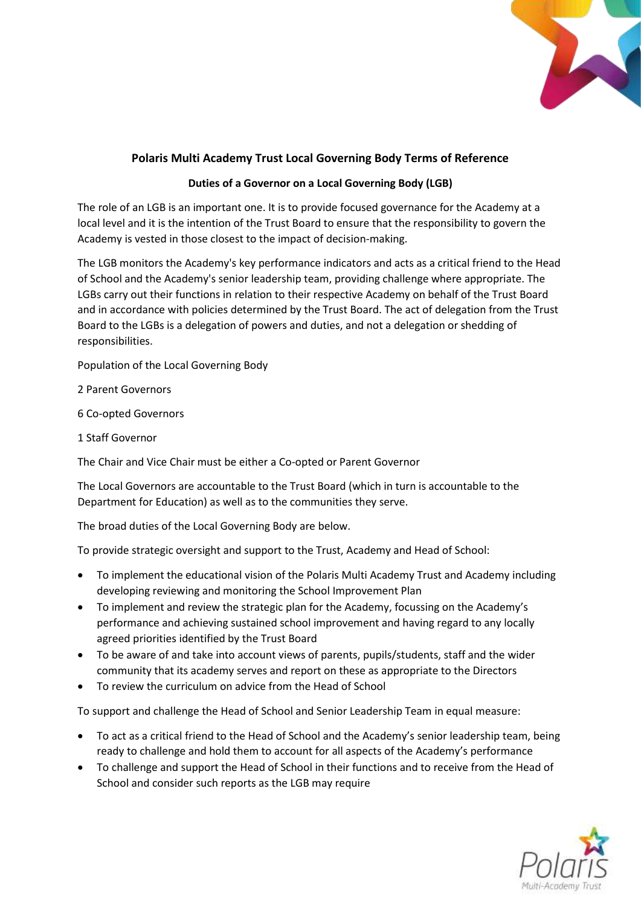

## **Polaris Multi Academy Trust Local Governing Body Terms of Reference**

## **Duties of a Governor on a Local Governing Body (LGB)**

The role of an LGB is an important one. It is to provide focused governance for the Academy at a local level and it is the intention of the Trust Board to ensure that the responsibility to govern the Academy is vested in those closest to the impact of decision-making.

The LGB monitors the Academy's key performance indicators and acts as a critical friend to the Head of School and the Academy's senior leadership team, providing challenge where appropriate. The LGBs carry out their functions in relation to their respective Academy on behalf of the Trust Board and in accordance with policies determined by the Trust Board. The act of delegation from the Trust Board to the LGBs is a delegation of powers and duties, and not a delegation or shedding of responsibilities.

Population of the Local Governing Body

2 Parent Governors

6 Co-opted Governors

1 Staff Governor

The Chair and Vice Chair must be either a Co-opted or Parent Governor

The Local Governors are accountable to the Trust Board (which in turn is accountable to the Department for Education) as well as to the communities they serve.

The broad duties of the Local Governing Body are below.

To provide strategic oversight and support to the Trust, Academy and Head of School:

- To implement the educational vision of the Polaris Multi Academy Trust and Academy including developing reviewing and monitoring the School Improvement Plan
- To implement and review the strategic plan for the Academy, focussing on the Academy's performance and achieving sustained school improvement and having regard to any locally agreed priorities identified by the Trust Board
- To be aware of and take into account views of parents, pupils/students, staff and the wider community that its academy serves and report on these as appropriate to the Directors
- To review the curriculum on advice from the Head of School

To support and challenge the Head of School and Senior Leadership Team in equal measure:

- To act as a critical friend to the Head of School and the Academy's senior leadership team, being ready to challenge and hold them to account for all aspects of the Academy's performance
- To challenge and support the Head of School in their functions and to receive from the Head of School and consider such reports as the LGB may require